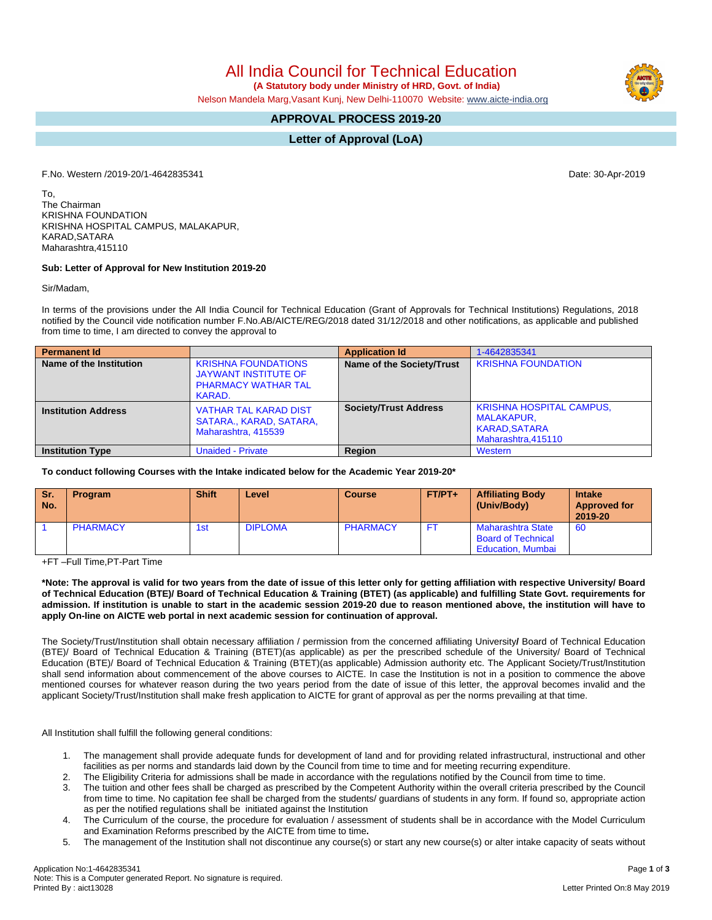All India Council for Technical Education

 **(A Statutory body under Ministry of HRD, Govt. of India)**

Nelson Mandela Marg,Vasant Kunj, New Delhi-110070 Website: [www.aicte-india.org](http://www.aicte-india.org)

## **APPROVAL PROCESS 2019-20**

**Letter of Approval (LoA)**

F.No. Western /2019-20/1-4642835341 Date: 30-Apr-2019

To, The Chairman KRISHNA FOUNDATION KRISHNA HOSPITAL CAMPUS, MALAKAPUR, KARAD,SATARA Maharashtra,415110

## **Sub: Letter of Approval for New Institution 2019-20**

Sir/Madam,

In terms of the provisions under the All India Council for Technical Education (Grant of Approvals for Technical Institutions) Regulations, 2018 notified by the Council vide notification number F.No.AB/AICTE/REG/2018 dated 31/12/2018 and other notifications, as applicable and published from time to time, I am directed to convey the approval to

| <b>Permanent Id</b>        |                                                                                                   | <b>Application Id</b>        | 1-4642835341                                                                                        |
|----------------------------|---------------------------------------------------------------------------------------------------|------------------------------|-----------------------------------------------------------------------------------------------------|
| Name of the Institution    | <b>KRISHNA FOUNDATIONS</b><br><b>JAYWANT INSTITUTE OF</b><br><b>PHARMACY WATHAR TAL</b><br>KARAD. | Name of the Society/Trust    | <b>KRISHNA FOUNDATION</b>                                                                           |
| <b>Institution Address</b> | <b>VATHAR TAL KARAD DIST</b><br>SATARA., KARAD, SATARA,<br>Maharashtra, 415539                    | <b>Society/Trust Address</b> | <b>KRISHNA HOSPITAL CAMPUS,</b><br><b>MALAKAPUR.</b><br><b>KARAD, SATARA</b><br>Maharashtra, 415110 |
| <b>Institution Type</b>    | <b>Unaided - Private</b>                                                                          | Region                       | Western                                                                                             |

**To conduct following Courses with the Intake indicated below for the Academic Year 2019-20\***

| <b>Sr.</b><br>No. | <b>Program</b>  | <b>Shift</b> | Level          | <b>Course</b>   | $FT/PT+$ | <b>Affiliating Body</b><br>(Univ/Body)                                            | <b>Intake</b><br><b>Approved for</b><br>2019-20 |
|-------------------|-----------------|--------------|----------------|-----------------|----------|-----------------------------------------------------------------------------------|-------------------------------------------------|
|                   | <b>PHARMACY</b> | 1st          | <b>DIPLOMA</b> | <b>PHARMACY</b> | F7       | <b>Maharashtra State</b><br><b>Board of Technical</b><br><b>Education, Mumbai</b> | 60                                              |

+FT –Full Time,PT-Part Time

\*Note: The approval is valid for two years from the date of issue of this letter only for getting affiliation with respective University/ Board of Technical Education (BTE)/ Board of Technical Education & Training (BTET) (as applicable) and fulfilling State Govt. requirements for admission. If institution is unable to start in the academic session 2019-20 due to reason mentioned above, the institution will have to **apply On-line on AICTE web portal in next academic session for continuation of approval.**

The Society/Trust/Institution shall obtain necessary affiliation / permission from the concerned affiliating University**/** Board of Technical Education (BTE)/ Board of Technical Education & Training (BTET)(as applicable) as per the prescribed schedule of the University/ Board of Technical Education (BTE)/ Board of Technical Education & Training (BTET)(as applicable) Admission authority etc. The Applicant Society/Trust/Institution shall send information about commencement of the above courses to AICTE. In case the Institution is not in a position to commence the above mentioned courses for whatever reason during the two years period from the date of issue of this letter, the approval becomes invalid and the applicant Society/Trust/Institution shall make fresh application to AICTE for grant of approval as per the norms prevailing at that time.

All Institution shall fulfill the following general conditions:

- 1. The management shall provide adequate funds for development of land and for providing related infrastructural, instructional and other facilities as per norms and standards laid down by the Council from time to time and for meeting recurring expenditure.
- 2. The Eligibility Criteria for admissions shall be made in accordance with the regulations notified by the Council from time to time.
- 3. The tuition and other fees shall be charged as prescribed by the Competent Authority within the overall criteria prescribed by the Council from time to time. No capitation fee shall be charged from the students/ guardians of students in any form. If found so, appropriate action as per the notified regulations shall be initiated against the Institution
- 4. The Curriculum of the course, the procedure for evaluation / assessment of students shall be in accordance with the Model Curriculum and Examination Reforms prescribed by the AICTE from time to time**.**
- 5. The management of the Institution shall not discontinue any course(s) or start any new course(s) or alter intake capacity of seats without

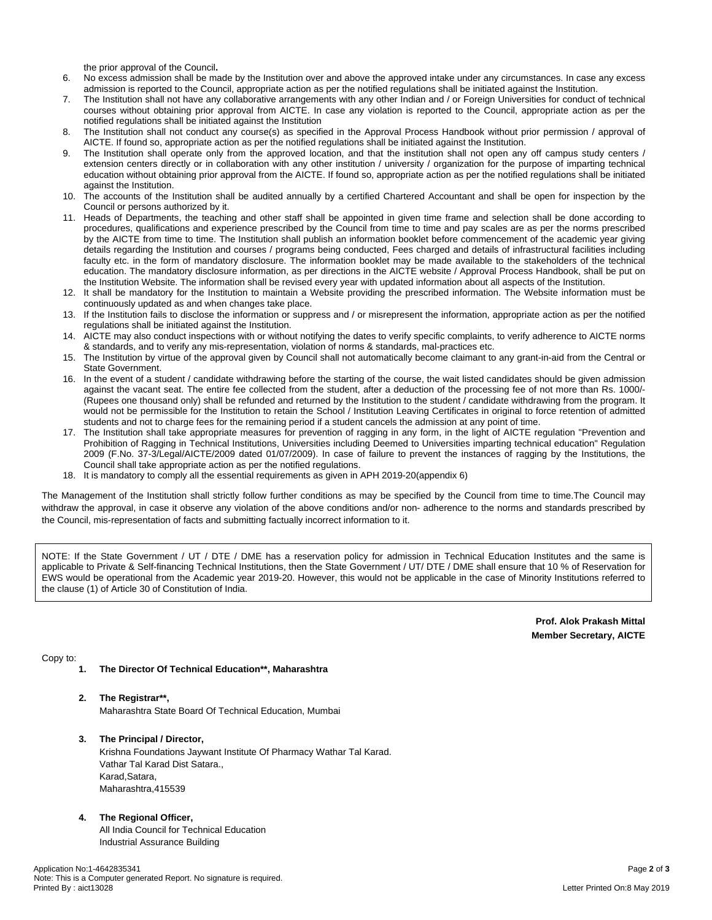the prior approval of the Council**.**

- 6. No excess admission shall be made by the Institution over and above the approved intake under any circumstances. In case any excess admission is reported to the Council, appropriate action as per the notified regulations shall be initiated against the Institution.
- 7. The Institution shall not have any collaborative arrangements with any other Indian and / or Foreign Universities for conduct of technical courses without obtaining prior approval from AICTE. In case any violation is reported to the Council, appropriate action as per the notified regulations shall be initiated against the Institution
- 8. The Institution shall not conduct any course(s) as specified in the Approval Process Handbook without prior permission / approval of AICTE. If found so, appropriate action as per the notified regulations shall be initiated against the Institution.
- The Institution shall operate only from the approved location, and that the institution shall not open any off campus study centers / extension centers directly or in collaboration with any other institution / university / organization for the purpose of imparting technical education without obtaining prior approval from the AICTE. If found so, appropriate action as per the notified regulations shall be initiated against the Institution.
- 10. The accounts of the Institution shall be audited annually by a certified Chartered Accountant and shall be open for inspection by the Council or persons authorized by it.
- 11. Heads of Departments, the teaching and other staff shall be appointed in given time frame and selection shall be done according to procedures, qualifications and experience prescribed by the Council from time to time and pay scales are as per the norms prescribed by the AICTE from time to time. The Institution shall publish an information booklet before commencement of the academic year giving details regarding the Institution and courses / programs being conducted, Fees charged and details of infrastructural facilities including faculty etc. in the form of mandatory disclosure. The information booklet may be made available to the stakeholders of the technical education. The mandatory disclosure information, as per directions in the AICTE website / Approval Process Handbook, shall be put on the Institution Website. The information shall be revised every year with updated information about all aspects of the Institution.
- 12. It shall be mandatory for the Institution to maintain a Website providing the prescribed information. The Website information must be continuously updated as and when changes take place.
- 13. If the Institution fails to disclose the information or suppress and / or misrepresent the information, appropriate action as per the notified regulations shall be initiated against the Institution.
- 14. AICTE may also conduct inspections with or without notifying the dates to verify specific complaints, to verify adherence to AICTE norms & standards, and to verify any mis-representation, violation of norms & standards, mal-practices etc.
- 15. The Institution by virtue of the approval given by Council shall not automatically become claimant to any grant-in-aid from the Central or State Government.
- 16. In the event of a student / candidate withdrawing before the starting of the course, the wait listed candidates should be given admission against the vacant seat. The entire fee collected from the student, after a deduction of the processing fee of not more than Rs. 1000/- (Rupees one thousand only) shall be refunded and returned by the Institution to the student / candidate withdrawing from the program. It would not be permissible for the Institution to retain the School / Institution Leaving Certificates in original to force retention of admitted students and not to charge fees for the remaining period if a student cancels the admission at any point of time.
- 17. The Institution shall take appropriate measures for prevention of ragging in any form, in the light of AICTE regulation "Prevention and Prohibition of Ragging in Technical Institutions, Universities including Deemed to Universities imparting technical education" Regulation 2009 (F.No. 37-3/Legal/AICTE/2009 dated 01/07/2009). In case of failure to prevent the instances of ragging by the Institutions, the Council shall take appropriate action as per the notified regulations.
- 18. It is mandatory to comply all the essential requirements as given in APH 2019-20(appendix 6)

The Management of the Institution shall strictly follow further conditions as may be specified by the Council from time to time.The Council may withdraw the approval, in case it observe any violation of the above conditions and/or non- adherence to the norms and standards prescribed by the Council, mis-representation of facts and submitting factually incorrect information to it.

NOTE: If the State Government / UT / DTE / DME has a reservation policy for admission in Technical Education Institutes and the same is applicable to Private & Self-financing Technical Institutions, then the State Government / UT/ DTE / DME shall ensure that 10 % of Reservation for EWS would be operational from the Academic year 2019-20. However, this would not be applicable in the case of Minority Institutions referred to the clause (1) of Article 30 of Constitution of India.

> **Prof. Alok Prakash Mittal Member Secretary, AICTE**

Copy to:

- **1. The Director Of Technical Education\*\*, Maharashtra**
- **2. The Registrar\*\*,**

Maharashtra State Board Of Technical Education, Mumbai

**3. The Principal / Director,** Krishna Foundations Jaywant Institute Of Pharmacy Wathar Tal Karad. Vathar Tal Karad Dist Satara., Karad,Satara, Maharashtra,415539

## **4. The Regional Officer,**

All India Council for Technical Education Industrial Assurance Building